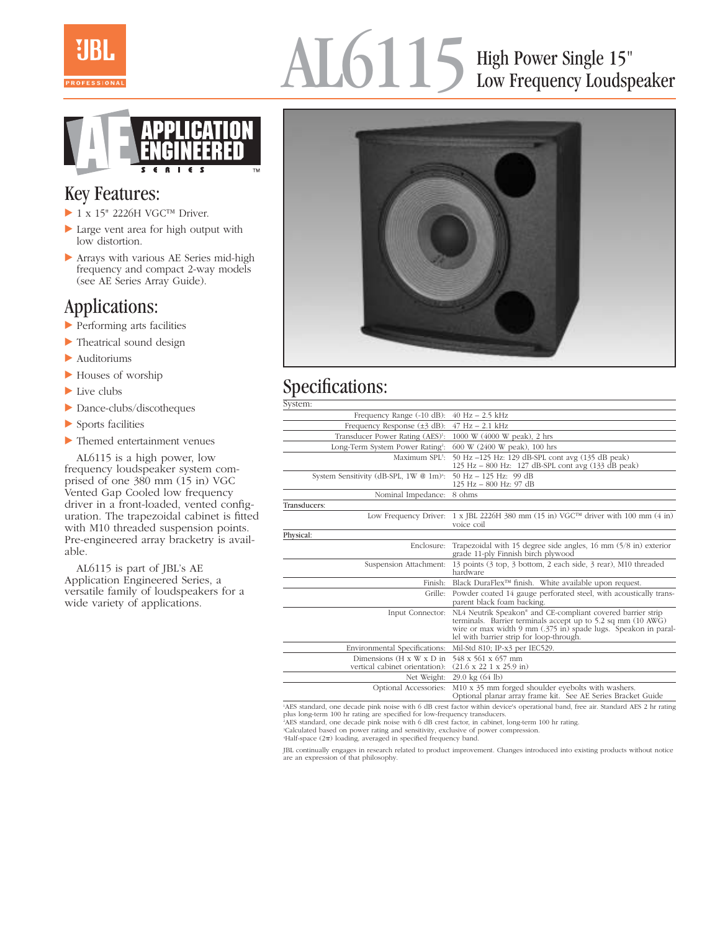

## AL6115 High Power Single 15" Low Frequency Loudspeaker



## Key Features:

- ▶ 1 x 15" 2226H VGC™ Driver.
- Large vent area for high output with low distortion.
- Arrays with various AE Series mid-high frequency and compact 2-way models (see AE Series Array Guide).

## Applications:

- Performing arts facilities
- Theatrical sound design
- Auditoriums
- Houses of worship
- $\blacktriangleright$  Live clubs
- Dance-clubs/discotheques
- Sports facilities
- Themed entertainment venues

AL6115 is a high power, low frequency loudspeaker system comprised of one 380 mm (15 in) VGC Vented Gap Cooled low frequency driver in a front-loaded, vented configuration. The trapezoidal cabinet is fitted with M10 threaded suspension points. Pre-engineered array bracketry is available.

AL6115 is part of JBL's AE Application Engineered Series, a versatile family of loudspeakers for a wide variety of applications.



## Specifications:

| System:                                                                 |                                                                                                                                                                                                                                                       |
|-------------------------------------------------------------------------|-------------------------------------------------------------------------------------------------------------------------------------------------------------------------------------------------------------------------------------------------------|
| Frequency Range (-10 dB):                                               | $40$ Hz $- 2.5$ kHz                                                                                                                                                                                                                                   |
| Frequency Response $(\pm 3$ dB):                                        | $47$ Hz $- 2.1$ kHz                                                                                                                                                                                                                                   |
| Transducer Power Rating (AES) <sup>1</sup> :                            | 1000 W (4000 W peak), 2 hrs                                                                                                                                                                                                                           |
| Long-Term System Power Rating2:                                         | 600 W (2400 W peak), 100 hrs                                                                                                                                                                                                                          |
| Maximum SPL3:                                                           | 50 Hz -125 Hz: 129 dB-SPL cont avg (135 dB peak)<br>125 Hz $-$ 800 Hz: 127 dB-SPL cont avg $(133$ dB peak)                                                                                                                                            |
| System Sensitivity (dB-SPL, 1W @ 1m) <sup>4</sup> :                     | 50 Hz $-$ 125 Hz: 99 dB<br>125 Hz - 800 Hz: 97 dB                                                                                                                                                                                                     |
| Nominal Impedance:                                                      | 8 ohms                                                                                                                                                                                                                                                |
| Transducers:                                                            |                                                                                                                                                                                                                                                       |
|                                                                         | Low Frequency Driver: 1 x JBL 2226H 380 mm (15 in) VGC <sup>TM</sup> driver with 100 mm (4 in)<br>voice coil                                                                                                                                          |
| Physical:                                                               |                                                                                                                                                                                                                                                       |
| Enclosure:                                                              | Trapezoidal with 15 degree side angles, 16 mm $(5/8$ in) exterior<br>grade 11-ply Finnish birch plywood                                                                                                                                               |
| Suspension Attachment:                                                  | 13 points (3 top, 3 bottom, 2 each side, 3 rear), M10 threaded<br>hardware                                                                                                                                                                            |
| Finish:                                                                 | Black DuraFlex <sup>™</sup> finish. White available upon request.                                                                                                                                                                                     |
|                                                                         | Grille: Powder coated 14 gauge perforated steel, with acoustically trans-<br>parent black foam backing.                                                                                                                                               |
| Input Connector:                                                        | NL4 Neutrik Speakon <sup>®</sup> and CE-compliant covered barrier strip<br>terminals. Barrier terminals accept up to 5.2 sq mm (10 AWG)<br>wire or max width 9 mm (.375 in) spade lugs. Speakon in paral-<br>lel with barrier strip for loop-through. |
| Environmental Specifications:                                           | Mil-Std 810; IP-x3 per IEC529.                                                                                                                                                                                                                        |
| Dimensions $(H \times W \times D)$ in<br>vertical cabinet orientation): | 548 x 561 x 657 mm<br>$(21.6 \times 22 \times 1 \times 25.9 \text{ in})$                                                                                                                                                                              |
| Net Weight:                                                             | $29.0 \text{ kg} (64 \text{ lb})$                                                                                                                                                                                                                     |
| Optional Accessories:                                                   | M10 x 35 mm forged shoulder eyebolts with washers.<br>Optional planar array frame kit. See AE Series Bracket Guide                                                                                                                                    |

1 AES standard, one decade pink noise with 6 dB crest factor within device's operational band, free air. Standard AES 2 hr rating plus long-term 100 hr rating are specified for low-frequency transducers.

2 AES standard, one decade pink noise with 6 dB crest factor, in cabinet, long-term 100 hr rating.

3 Calculated based on power rating and sensitivity, exclusive of power compression.

 $H$ alf-space  $(2\pi)$  loading, averaged in specified frequency band.

JBL continually engages in research related to product improvement. Changes introduced into existing products without notice are an expression of that philosophy.